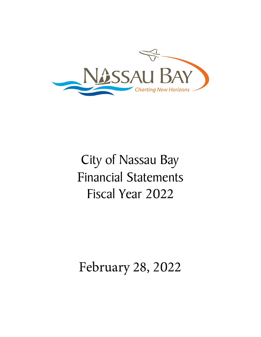

# City of Nassau Bay Financial Statements Fiscal Year 2022

## February 28, 2022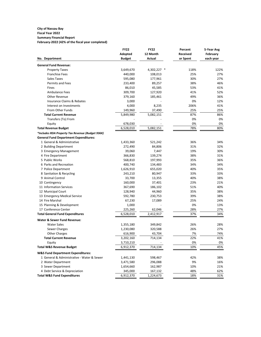## **City of Nassau Bay**

#### **Fiscal Year 2022 Summary Financial Report**

**February-2022 (42% of the fiscal year completed)**

|                                                  | <b>FY22</b>          | <b>FY22</b>          | Percent         | 5-Year Avg |
|--------------------------------------------------|----------------------|----------------------|-----------------|------------|
|                                                  | Adopted              | 12 Month             | <b>Received</b> | February   |
| No. Department                                   | <b>Budget</b>        | Actual               | or Spent        | each year  |
| <b>General Fund Revenue:</b>                     |                      |                      |                 |            |
| <b>Property Taxes</b>                            | 3,649,670            | 4,302,227 *          | 118%            | 122%       |
| <b>Franchise Fees</b>                            | 440,000              | 108,013              | 25%             | 27%        |
| Sales Taxes                                      | 595,080              | 177,961              | 30%             | 27%        |
| <b>Permits and Fees</b>                          | 233,400              | 89,257               | 38%             | 46%        |
| Fines                                            | 86,010               | 45,585               | 53%             | 41%        |
| <b>Ambulance Fees</b>                            | 309,700              | 127,920              | 41%             | 52%        |
| Other Revenue                                    | 379,160              | 185,461              | 49%             | 36%        |
| Insurance Claims & Rebates                       | 3,000                |                      | 0%              | 12%        |
| Interest on Investments                          | 4,000                | 8,235                | 206%            | 41%        |
| From Other Funds                                 | 149,960              | 37,490               | 25%             | 25%        |
| <b>Total Current Revenue</b>                     | 5,849,980            | 5,082,151            | 87%             | 86%        |
| Transfers (To) From                              |                      |                      | 0%              | 0%         |
| Equity                                           | 678,030              |                      | 0%              | 0%         |
| <b>Total Revenue Budget</b>                      | 6,528,010            | 5,082,151            | 78%             | 80%        |
| *Includes RDA Property Tax Revenue (Budget 936K) |                      |                      |                 |            |
| <b>General Fund Department Expenditures:</b>     |                      |                      |                 |            |
| 1 General & Administrative                       | 1,433,360            | 521,242              | 36%             | 34%        |
| 2 Building Department                            | 272,490              | 84,806               | 31%             | 32%        |
| 3 Emergency Management                           | 39,060               | 7,447                | 19%             | 30%        |
| 4 Fire Department                                | 366,830              | 139,274              | 38%             | 31%        |
| 5 Public Works                                   | 568,810              | 197,993              | 35%             | 36%        |
| 6 Parks and Recreation                           | 400,740              | 134,483              | 34%             | 34%        |
| 7 Police Department                              | 1,626,910            | 655,020              | 40%             | 35%        |
| 8 Sanitation & Recycling                         | 243,210              | 80,947               | 33%             | 33%        |
| 9 Animal Control                                 | 33,700               | 13,355               | 40%             | 38%        |
| 10 Contingency                                   | 160,000              | 37,401               | 23%             | 21%        |
| 11 Information Services                          | 367,690              | 186,102              | 51%             | 40%        |
| 12 Municipal Court                               | 128,940              | 44,960               | 35%             | 38%        |
| 13 Emergency Medical Service                     | 592,780              | 230,753              | 39%             | 38%        |
| 14 Fire Marshal                                  | 67,230               | 17,089               | 25%             | 24%        |
| 15 Planning & Development                        | 1,000                |                      | 0%              | 13%        |
| 17 Conference Center                             | 225,260              | 62,046               | 28%             | 27%        |
| <b>Total General Fund Expenditures</b>           | 6,528,010            | 2,412,917            | 37%             | 34%        |
| <b>Water &amp; Sewer Fund Revenue:</b>           |                      |                      |                 |            |
| <b>Water Sales</b>                               | 1,355,180            | 349,842              | 26%             | 28%        |
| Sewer Charges                                    | 1,230,080            | 320,588              | 26%             | 27%        |
| <b>Other Charges</b>                             | 616,900              | 43,704               | 7%              | 74%        |
| <b>Total Current Revenue</b>                     | 3,202,160            | 714,134              | 22%             | 41%        |
| Equity                                           | 3,710,210            |                      | 0%              | 0%         |
| <b>Total W&amp;S Revenue Budget</b>              | 6,912,370            | 714,134              | 10%             | 45%        |
|                                                  |                      |                      |                 |            |
| <b>W&amp;S Fund Department Expenditures:</b>     |                      |                      |                 |            |
| 1 General & Administrative - Water & Sewer       | 1,441,130            | 598,467              | 42%             | 38%        |
| 2 Water Department<br>3 Sewer Department         | 3,471,580            | 296,088              | 9%              | 16%        |
| 4 Debt Service & Depreciation                    | 1,654,660            | 162,987              | 10%<br>48%      | 21%<br>62% |
| <b>Total W&amp;S Fund Expenditures</b>           | 345,000<br>6,912,370 | 167,132<br>1,224,673 | 18%             | 31%        |
|                                                  |                      |                      |                 |            |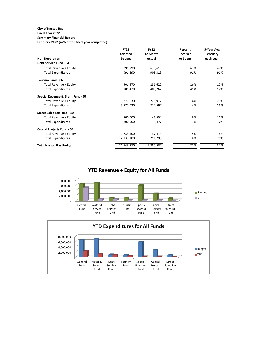## **City of Nassau Bay**

#### **Fiscal Year 2022 Summary Financial Report**

**February-2022 (42% of the fiscal year completed)**

|                                   | <b>FY22</b>   | <b>FY22</b> | Percent         | 5-Year Avg |
|-----------------------------------|---------------|-------------|-----------------|------------|
|                                   | Adopted       | 12 Month    | <b>Received</b> | February   |
| No. Department                    | <b>Budget</b> | Actual      | or Spent        | each year  |
| Debt Service Fund - 04            |               |             |                 |            |
| Total Revenue + Equity            | 991,890       | 623,613     | 63%             | 47%        |
| <b>Total Expenditures</b>         | 991,890       | 905,313     | 91%             | 91%        |
| <b>Tourism Fund - 06</b>          |               |             |                 |            |
| Total Revenue + Equity            | 901,470       | 236,622     | 26%             | 17%        |
| <b>Total Expenditures</b>         | 901,470       | 403,762     | 45%             | 17%        |
| Special Revenue & Grant Fund - 07 |               |             |                 |            |
| Total Revenue + Equity            | 5,877,030     | 228,912     | 4%              | 21%        |
| <b>Total Expenditures</b>         | 5,877,030     | 212,597     | 4%              | 26%        |
| <b>Street Sales Tax Fund - 10</b> |               |             |                 |            |
| Total Revenue + Equity            | 800,000       | 46,554      | 6%              | 11%        |
| <b>Total Expenditures</b>         | 800,000       | 9,477       | 1%              | 17%        |
| Capital Projects Fund - 09        |               |             |                 |            |
| Total Revenue + Equity            | 2,733,100     | 137,414     | 5%              | 6%         |
| <b>Total Expenditures</b>         | 2,733,100     | 211,798     | 8%              | 26%        |
| <b>Total Nassau Bay Budget</b>    | 24,743,870    | 5,380,537   | 22%             | 32%        |

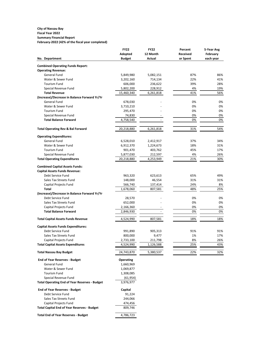#### **City of Nassau Bay Fiscal Year 2022 Summary Financial Report**

|  |  | February-2022 (42% of the fiscal year completed) |
|--|--|--------------------------------------------------|
|--|--|--------------------------------------------------|

|                                                      | <b>FY22</b>      | <b>FY22</b>   | Percent         | 5-Year Avg |
|------------------------------------------------------|------------------|---------------|-----------------|------------|
|                                                      | Adopted          | 12 Month      | <b>Received</b> | February   |
| No. Department                                       | <b>Budget</b>    | <b>Actual</b> | or Spent        | each year  |
| <b>Combined Operating Funds Report:</b>              |                  |               |                 |            |
| <b>Operating Revenue:</b>                            |                  |               |                 |            |
| General Fund                                         | 5,849,980        | 5,082,151     | 87%             | 86%        |
| Water & Sewer Fund                                   | 3,202,160        | 714,134       | 22%             | 41%        |
| <b>Tourism Fund</b>                                  | 606,000          | 236,622       | 39%             | 28%        |
| Special Revenue Fund                                 | 5,802,200        | 228,912       | 4%              | 19%        |
| <b>Total Revenue</b>                                 | 15,460,340       | 6,261,818     | 41%             | 56%        |
| (Increase)/Decrease in Balance Forward Yr/Yr         |                  |               |                 |            |
| General Fund                                         | 678,030          |               | 0%              | 0%         |
| Water & Sewer Fund                                   | 3,710,210        |               | 0%              | 0%         |
| <b>Tourism Fund</b>                                  | 295,470          |               | 0%              | 0%         |
| Special Revenue Fund                                 | 74,830           |               | 0%              | 0%         |
| <b>Total Balance Forward</b>                         | 4,758,540        |               | 0%              | 0%         |
|                                                      |                  |               |                 |            |
| <b>Total Operating Rev &amp; Bal Forward</b>         | 20,218,880       | 6,261,818     | 31%             | 54%        |
| <b>Operating Expenditures:</b>                       |                  |               |                 |            |
| General Fund                                         | 6,528,010        | 2,412,917     | 37%             | 34%        |
| Water & Sewer Fund                                   | 6,912,370        | 1,224,673     | 18%             | 31%        |
| <b>Tourism Fund</b>                                  | 901,470          | 403,762       | 45%             | 17%        |
| Special Revenue Fund                                 | 5,877,030        | 212,597       | 4%              | 26%        |
| <b>Total Operating Expenditures</b>                  | 20,218,880       | 4,253,949     | 21%             | 30%        |
| <b>Combined Capital Assets Funds:</b>                |                  |               |                 |            |
| <b>Capital Assets Funds Revenue:</b>                 |                  |               |                 |            |
| Debt Service Fund                                    | 963,320          | 623,613       | 65%             | 49%        |
| Sales Tax Streets Fund                               | 148,000          | 46,554        | 31%             | 31%        |
| Capital Projects Fund                                | 566,740          | 137,414       | 24%             | 8%         |
| <b>Total</b>                                         | 1,678,060        | 807,581       | 48%             | 25%        |
| (Increase)/Decrease in Balance Forward Yr/Yr         |                  |               |                 |            |
| Debt Service Fund                                    | 28,570           |               | 0%              | 0%         |
| Sales Tax Streets Fund                               | 652,000          |               | 0%              | 0%         |
| Capital Projects Fund                                | 2,166,360        |               | 0%              | 0%         |
| <b>Total Balance Forward</b>                         | 2,846,930        |               | 0%              | 0%         |
| <b>Total Capital Assets Funds Revenue</b>            | 4,524,990        | 807,581       | 18%             | 18%        |
| <b>Capital Assets Funds Expenditures:</b>            |                  |               |                 |            |
| Debt Service Fund                                    | 991,890          | 905,313       | 91%             | 91%        |
| Sales Tax Streets Fund                               | 800,000          | 9,477         | 1%              | 17%        |
| Capital Projects Fund                                | 2,733,100        | 211,798       | 8%              | 26%        |
| <b>Total Capital Assets Expenditures</b>             | 4,524,990        | 1,126,588     | 25%             | 43%        |
| <b>Total Nassau Bay Budget</b>                       | 24,743,870       | 5,380,537     | 22%             | 32%        |
| <b>End of Year Reserves - Budget</b>                 | <b>Operating</b> |               |                 |            |
| General Fund                                         | 1,660,969        |               |                 |            |
| Water & Sewer Fund                                   | 1,069,877        |               |                 |            |
| <b>Tourism Fund</b>                                  | 1,308,085        |               |                 |            |
| Special Revenue Fund                                 | (61, 954)        |               |                 |            |
| <b>Total Operating End of Year Reserves - Budget</b> | 3,976,977        |               |                 |            |
| <b>End of Year Reserves - Budget</b>                 | Capital          |               |                 |            |
| Debt Service Fund                                    | 91,224           |               |                 |            |
| Sales Tax Streets Fund                               | 244,066          |               |                 |            |
| Capital Projects Fund                                | 474,456          |               |                 |            |
| <b>Total Capital End of Year Reserves - Budget</b>   | 809,746          |               |                 |            |
| <b>Total End of Year Reserves - Budget</b>           | 4,786,723        |               |                 |            |
|                                                      |                  |               |                 |            |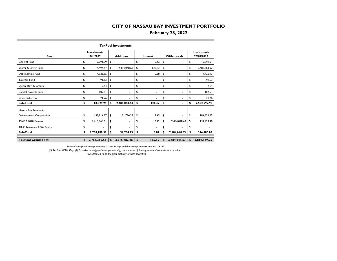#### **February 28, 2022**

|                            |                                |              |    | <b>TexPool Investments</b> |          |                          |    |                          |                                  |              |  |
|----------------------------|--------------------------------|--------------|----|----------------------------|----------|--------------------------|----|--------------------------|----------------------------------|--------------|--|
| Fund                       | <b>Investments</b><br>2/1/2022 |              |    | <b>Additions</b>           | Interest |                          |    | <b>Withdrawals</b>       | <b>Investments</b><br>02/28/2022 |              |  |
| General Fund               | \$                             | 9,091.09     | \$ |                            | \$       | 0.42                     | \$ | ۰                        | \$                               | 9,091.51     |  |
| Water & Sewer Fund         | \$                             | 4,494.67     | \$ | 2,484,048.63               | \$       | 120.62                   | \$ | ۰.                       | \$                               | 2,488,663.92 |  |
| Debt Service Fund          | \$                             | 4,725.65     | \$ | ٠                          | \$       | 0.28                     | \$ | $\overline{\phantom{a}}$ | \$                               | 4,725.93     |  |
| <b>Tourism Fund</b>        | \$                             | 91.63        | \$ | ٠                          | \$       | $\overline{\phantom{a}}$ | \$ | $\overline{\phantom{a}}$ | \$                               | 91.63        |  |
| Special Rev. & Grants      | \$                             | 2.64         | \$ | ٠                          | \$       |                          | \$ |                          | \$                               | 2.64         |  |
| Capital Projects Fund      | \$                             | 102.51       | \$ | ٠                          | \$       | ۰                        | \$ | ۰                        | \$                               | 102.51       |  |
| <b>Street Sales Tax</b>    | \$                             | 21.76        | \$ |                            | \$       |                          | \$ | $\blacksquare$           | \$                               | 21.76        |  |
| Sub-Total                  | \$                             | 18,529.95    | \$ | 2,484,048.63               | \$       | 121.32                   | \$ |                          | \$                               | 2,502,699.90 |  |
| Nassau Bay Economic        |                                |              |    |                            |          |                          |    |                          |                                  |              |  |
| Development Corporation    | \$                             | 152,814.97   | \$ | 31,734.23                  | \$       | 7.45                     | \$ | ٠                        | \$                               | 184,556.65   |  |
| TWDB 2020 Escrow           | \$                             | 2,615,965.61 | \$ | ۰                          | \$       | 6.42                     | \$ | 2,484,048.63             | \$                               | 131,923.40   |  |
| TIRZ Revenue - RDA Equity  | \$                             |              | \$ |                            | \$       |                          | \$ |                          | \$                               |              |  |
| Sub-Total                  | \$                             | 2,768,780.58 | \$ | 31,734.23                  | \$       | 13.87                    | \$ | 2,484,048.63             | \$                               | 316,480.05   |  |
| <b>TexPool Grand Total</b> | \$                             | 2,787,310.53 | \$ | 2,515,782.86               | \$       | 135.19                   | \$ | 2,484,048.63             | \$                               | 2,819,179.95 |  |

Texpool's weighted average maturity (\*) was 34 days and the average interest rate was .0632%.

*(\*) TexPool WAM Days (2) To arrive at weighted average maturity, the maturity of floating rate and variable rate securities was deemed to be the final maturity of such securities.*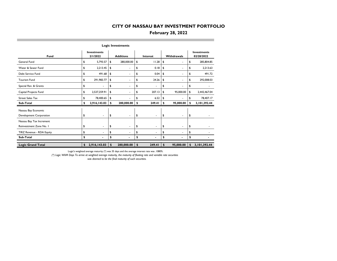#### **February 28, 2022**

|                                                |                                |                  | <b>Logic Investments</b> |    |                |                    |                |    |                                  |  |  |
|------------------------------------------------|--------------------------------|------------------|--------------------------|----|----------------|--------------------|----------------|----|----------------------------------|--|--|
| Fund                                           | <b>Investments</b><br>2/1/2022 | <b>Additions</b> |                          |    | Interest       | <b>Withdrawals</b> |                |    | <b>Investments</b><br>02/28/2022 |  |  |
| General Fund                                   | \$<br>5,793.57                 | \$               | 280,000.00               | \$ | 11.28          | \$                 | ۰              | \$ | 285,804.85                       |  |  |
| Water & Sewer Fund                             | \$<br>2,213.45                 | \$               | $\overline{\phantom{a}}$ | \$ | 0.18           | \$                 | ٠              | \$ | 2,213.63                         |  |  |
| Debt Service Fund                              | \$<br>491.68                   | \$               | ٠                        | \$ | 0.04           | \$                 | $\blacksquare$ | \$ | 491.72                           |  |  |
| <b>Tourism Fund</b>                            | \$<br>291,983.77               | \$               | ۰                        | \$ | 24.26          | \$                 | ٠              | \$ | 292,008.03                       |  |  |
| Special Rev. & Grants                          | \$                             | \$               |                          | \$ |                | \$                 |                | \$ |                                  |  |  |
| Capital Projects Fund                          | \$<br>2,537,259.91             | \$               |                          | \$ | 207.13         | \$                 | 95,000.00      | \$ | 2,442,467.04                     |  |  |
| <b>Street Sales Tax</b>                        | \$<br>78,400.65                | \$               |                          | \$ | 6.52           | \$                 |                | \$ | 78,407.17                        |  |  |
| Sub-Total                                      | \$<br>2,916,143.03             | \$               | 280,000.00               | \$ | 249.41         | \$                 | 95,000.00      | \$ | 3,101,392.44                     |  |  |
| Nassau Bay Economic<br>Development Corporation | \$<br>٠                        | \$               |                          | \$ | ۰              | \$                 | $\blacksquare$ | \$ |                                  |  |  |
| Nassau Bay Tax Increment                       |                                |                  |                          |    |                |                    |                |    |                                  |  |  |
| Reinvestment Zone No. I                        | \$<br>$\blacksquare$           | \$               | $\blacksquare$           | \$ | $\blacksquare$ | \$                 | $\sim$         | \$ |                                  |  |  |
| TIRZ Revenue - RDA Equity                      | \$<br>$\blacksquare$           | \$               | ۰                        | \$ | ٠              | \$                 | ۰              | \$ |                                  |  |  |
| Sub-Total                                      | \$                             | \$               |                          | \$ |                | \$                 |                | \$ |                                  |  |  |
| <b>Logic Grand Total</b>                       | \$<br>2,916,143.03             | \$               | 280,000.00               | \$ | 249.41         | \$                 | 95,000.00      | \$ | 3,101,392.44                     |  |  |

Logic's weighted average maturity (\*) was 35 days and the average interest rate was .1080%.

*(\*) Logic WAM Days To arrive at weighted average maturity, the maturity of floating rate and variable rate securities* 

 *was deemed to be the final maturity of such securities.*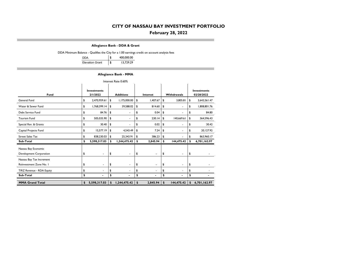#### **February 28, 2022**

**Allegiance Bank - DDA & Grant**

DDA Minimum Balance - Qualifies the City for a 1.00 earnings credit on account analysis fees

| <b>DDA</b>             | \$<br>400,000.00 |
|------------------------|------------------|
| <b>Elevation Grant</b> | \$<br>13,729.29  |

#### **Allegiance Bank - MMA**

| Interest Rate 0.60%       |    |                                |                                                    |              |    |                |    |            |                                  |              |  |  |  |
|---------------------------|----|--------------------------------|----------------------------------------------------|--------------|----|----------------|----|------------|----------------------------------|--------------|--|--|--|
| Fund                      |    | <b>Investments</b><br>2/1/2022 | <b>Additions</b><br><b>Withdrawals</b><br>Interest |              |    |                |    |            | <b>Investments</b><br>02/28/2022 |              |  |  |  |
| General Fund              | \$ | 2,470,959.61                   | \$                                                 | 1,175,000.00 | \$ | 1,407.67       | \$ | 3,805.81   | \$                               | 3,643,561.47 |  |  |  |
| Water & Sewer Fund        | \$ | 1,768,399.14                   | \$                                                 | 39,588.02    | \$ | 814.60         | \$ | ٠          | \$                               | 1,808,801.76 |  |  |  |
| Debt Service Fund         | \$ | 84.76                          | \$                                                 | ۰            | \$ | 0.04           | \$ | ٠          | \$                               | 84.80        |  |  |  |
| <b>Tourism Fund</b>       | \$ | 505,035.90                     | \$                                                 | ۰            | \$ | 230.14         | \$ | 140,669.61 | \$                               | 364,596.43   |  |  |  |
| Special Rev. & Grants     | \$ | 30.40                          | \$                                                 | ٠            | \$ | 0.02           | \$ | ٠          | \$                               | 30.42        |  |  |  |
| Capital Projects Fund     | \$ | 15,577.19                      | \$                                                 | 4,543.49     | \$ | 7.24           | \$ | ٠          | \$                               | 20,127.92    |  |  |  |
| <b>Street Sales Tax</b>   | \$ | 838,230.03                     | \$                                                 | 25,343.91    | \$ | 386.23         | \$ |            | \$                               | 863,960.17   |  |  |  |
| Sub-Total                 | \$ | 5,598,317.03                   | \$                                                 | 1,244,475.42 | \$ | 2,845.94       | \$ | 144,475.42 | \$                               | 6,701,162.97 |  |  |  |
| Nassau Bay Economic       |    |                                |                                                    |              |    |                |    |            |                                  |              |  |  |  |
| Development Corporation   | \$ | ٠                              | \$                                                 | ۰            | \$ | ٠              | \$ | ۰          | \$                               |              |  |  |  |
| Nassau Bay Tax Increment  |    |                                |                                                    |              |    |                |    |            |                                  |              |  |  |  |
| Reinvestment Zone No. I   | \$ | $\blacksquare$                 | \$                                                 | ٠            | \$ | $\blacksquare$ | \$ | ٠          | \$                               |              |  |  |  |
| TIRZ Revenue - RDA Equity | \$ | ٠                              | \$                                                 | ۰            | \$ | ٠              | \$ |            | \$                               |              |  |  |  |
| Sub-Total                 | \$ | $\blacksquare$                 | \$                                                 |              | \$ | $\blacksquare$ | \$ |            | \$                               |              |  |  |  |
| <b>MMA Grand Total</b>    | \$ | 5,598,317.03                   | \$                                                 | 1,244,475.42 | \$ | 2,845.94       | \$ | 144,475.42 | \$                               | 6,701,162.97 |  |  |  |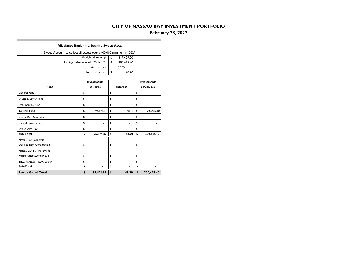## **February 28, 2022**

#### **Allegiance Bank - Int. Bearing Sweep Acct.**

| Sweep Account to collect all excess over \$400,000 minimum in DDA |                    |             |                    |
|-------------------------------------------------------------------|--------------------|-------------|--------------------|
|                                                                   | \$<br>317,409.00   |             |                    |
| Ending Balance as of 02/28/2022                                   | \$<br>200,425.40   |             |                    |
|                                                                   | 0.20%              |             |                    |
|                                                                   | Interest Earned    | \$<br>48.70 |                    |
|                                                                   |                    |             |                    |
|                                                                   | <b>Investments</b> |             | <b>Investments</b> |
| Fund                                                              | 2/1/2022           | Interest    | 02/28/2022         |
| General Fund                                                      | \$                 | \$          | \$                 |
| Water & Sewer Fund                                                | \$<br>٠            | \$<br>٠     | \$                 |
| Debt Service Fund                                                 | \$                 | \$          | \$                 |
| <b>Tourism Fund</b>                                               | \$<br>195,874.87   | \$<br>48.70 | \$<br>200,425.40   |
| Special Rev. & Grants                                             | \$<br>٠            | \$<br>÷     | \$                 |
| Capital Projects Fund                                             | \$                 | \$          | \$                 |
| <b>Street Sales Tax</b>                                           | \$                 | \$          | \$                 |
| Sub-Total                                                         | \$<br>195,874.87   | \$<br>48.70 | \$<br>200,425.40   |
| Nassau Bay Economic                                               |                    |             |                    |
| Development Corporation                                           | \$                 | \$          | \$                 |
| Nassau Bay Tax Increment                                          |                    |             |                    |
| Reinvestment Zone No. I                                           | \$<br>٠            | \$<br>٠     | \$                 |
| TIRZ Revenue - RDA Equity                                         | \$                 | \$<br>÷     | \$                 |
| Sub-Total                                                         | \$                 | \$          | \$                 |
| <b>Sweep Grand Total</b>                                          | \$<br>195,874.87   | \$<br>48.70 | \$<br>200,425.40   |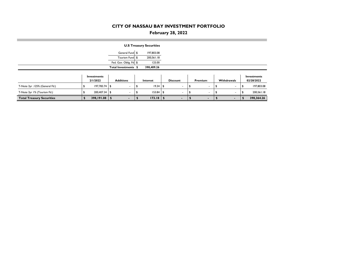## **February 28, 2022**

|                                  |                         |                          | <b>U.S Treasury Securities</b> |                          |                          |                          |                           |
|----------------------------------|-------------------------|--------------------------|--------------------------------|--------------------------|--------------------------|--------------------------|---------------------------|
|                                  |                         | General Fund \$          | 197,803.08                     |                          |                          |                          |                           |
|                                  |                         | Tourism Fund \$          | 200,561.18                     |                          |                          |                          |                           |
|                                  |                         | Fed. Gov. Oblig. Fd \$   | 125.00                         |                          |                          |                          |                           |
|                                  |                         | Total Investments \$     | 398,489.26                     |                          |                          |                          |                           |
|                                  | Investments<br>2/1/2022 | <b>Additions</b>         | Interest                       | <b>Discount</b>          | Premium                  | Withdrawals              | Investments<br>02/28/2022 |
| T-Note 3yr .125% (General Fd.)   | $197,783.74$ \$         |                          | $19.34$ \$                     |                          |                          | $\overline{\phantom{a}}$ | 197,803.08                |
| T-Note 3yr 1% (Tourism Fd.)      | 200,407.34 \$           | $\overline{\phantom{a}}$ | $153.84$ \$                    | $\overline{\phantom{a}}$ | $\overline{\phantom{a}}$ | $\overline{\phantom{a}}$ | 200,561.18                |
| <b>Total Treasury Securities</b> | $398,191.08$ \$         |                          | 173.18                         | $\blacksquare$           | ۰.                       | ٠                        | 398,364.26                |

п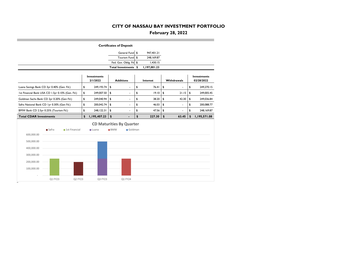## **February 28, 2022**

|                                                  |       |               |                                |                | <b>Certificates of Deposit</b>  |                  |                                    |                                  |
|--------------------------------------------------|-------|---------------|--------------------------------|----------------|---------------------------------|------------------|------------------------------------|----------------------------------|
|                                                  |       |               |                                |                | General Fund \$                 | 947,401.21       |                                    |                                  |
|                                                  |       |               |                                |                | Tourism Fund                    | \$<br>248,169.87 |                                    |                                  |
|                                                  |       |               |                                |                | Fed. Gov. Oblig. Fd \$          | 1,430.15         |                                    |                                  |
|                                                  |       |               |                                |                | Total Investments \$            | 1,197,001.23     |                                    |                                  |
|                                                  |       |               | <b>Investments</b><br>2/1/2022 |                | <b>Additions</b>                | Interest         | Withdrawals                        | <b>Investments</b><br>02/28/2022 |
| Luana Savings Bank CD 3yr 0.40% (Gen. Fd.)       |       |               | \$<br>249, 193.74              | \$             | ٠                               | \$<br>76.41      | \$                                 | \$<br>249,270.15                 |
| 1st Financial Bank USA CD 1.5yr 0.10% (Gen. Fd.) |       |               | \$<br>249,007.50               | \$             | $\overline{\phantom{a}}$        | \$<br>19.10      | \$<br>21.15                        | \$<br>249,005.45                 |
| Goldman Sachs Bank CD 2yr 0.20% (Gen Fd.)        |       |               | \$<br>249,040.94               | \$             |                                 | \$<br>38.20      | \$<br>42.30                        | \$<br>249,036.84                 |
| Safra National Bank CD Iyr 0.30% (Gen Fd.)       |       |               | \$<br>200,042.74               | \$             | ٠                               | \$<br>46.03      | \$<br>ä,                           | \$<br>200,088.77                 |
| BMW Bank CD 2.5yr 0.25% (Tourism Fd.)            |       |               | \$<br>248, 122.31              | \$             | ä,                              | \$<br>47.56      | \$                                 | \$<br>248,169.87                 |
| <b>Total CDAR Investments</b>                    |       |               | \$<br>1,195,407.23             | \$             | ٠                               | \$<br>227.30     | $\boldsymbol{\mathsf{s}}$<br>63.45 | \$<br>1,195,571.08               |
|                                                  |       |               |                                |                |                                 |                  |                                    |                                  |
|                                                  |       |               |                                |                | <b>CD Maturities By Quarter</b> |                  |                                    |                                  |
|                                                  | Safra | 1st Financial | <b>■</b> Luana                 | $B_{\text{B}}$ | Goldman                         |                  |                                    |                                  |
| 600,000.00                                       |       |               |                                |                |                                 |                  |                                    |                                  |
|                                                  |       |               |                                |                |                                 |                  |                                    |                                  |
| 500,000.00                                       |       |               |                                |                |                                 |                  |                                    |                                  |
| 400,000.00                                       |       |               |                                |                |                                 |                  |                                    |                                  |
| 300,000.00                                       |       |               |                                |                |                                 |                  |                                    |                                  |
| 200,000.00                                       |       |               |                                |                |                                 |                  |                                    |                                  |
| 100,000.00                                       |       |               |                                |                |                                 |                  |                                    |                                  |

**COL**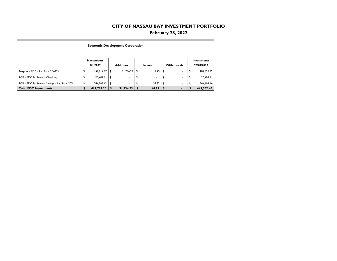## **February 28, 2022**

**Economic Development Corporation**

п

|                                              | Investments<br>2/1/2022 |      | <b>Additions</b> | Interest   |      | Withdrawals              |   | Investments<br>02/28/2022 |
|----------------------------------------------|-------------------------|------|------------------|------------|------|--------------------------|---|---------------------------|
| Texpool - EDC - Int. Rate 0.0632%            | 152.814.97              | - \$ | 31.734.23        | \$<br>7.45 | - \$ | $\overline{\phantom{a}}$ |   | 184.556.65                |
| TCB - EDC BizReward Checking                 | 20.402.61               | \$   |                  |            |      |                          |   | 20,402.61                 |
| TCB - EDC BizReward Savings - Int. Rate .20% | 244.565.62              | ا \$ |                  | 37.52      | ୍ୟ   | $\overline{\phantom{a}}$ | л | 244,603.14                |
| <b>Total EDC Investments</b>                 | 417,783.20              |      | 31,734.23        | 44.97      |      |                          |   | 449,562.40                |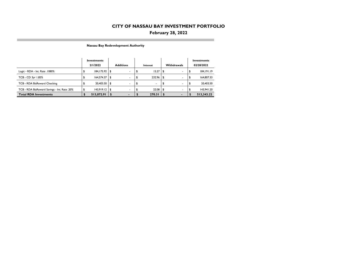## **February 28, 2022**

**Nassau Bay Redevelopment Authority**

п

|                                              | Investments |                 |                  |                          |          |        |    |                          |            | Investments  |  |
|----------------------------------------------|-------------|-----------------|------------------|--------------------------|----------|--------|----|--------------------------|------------|--------------|--|
|                                              |             | 2/1/2022        | <b>Additions</b> |                          | Interest |        |    | Withdrawals              | 02/28/2022 |              |  |
| Logic - RDA - Int. Rate . 1080%              |             | 184, 175.92     | l \$             |                          |          | 15.27  | S  | ۰                        |            | 184, 191. 19 |  |
| TCB - CD 3yr 1.85%                           |             | 164.574.37      | - \$             | $\overline{\phantom{a}}$ |          | 232.96 | \$ |                          |            | 164,807.33   |  |
| TCB - RDA BizReward Checking                 |             | 20,403.50 \$    |                  | $\sim$                   |          |        |    | $\overline{\phantom{a}}$ |            | 20,403.50    |  |
| TCB - RDA BizReward Savings - Int. Rate .20% |             | $143.919.12$ \$ |                  |                          |          | 22.08  | \$ | $\overline{\phantom{a}}$ |            | 143.941.20   |  |
| <b>Total RDA Investments</b>                 |             | 513,072.91      |                  |                          |          | 270.31 |    |                          |            | 513,343.22   |  |